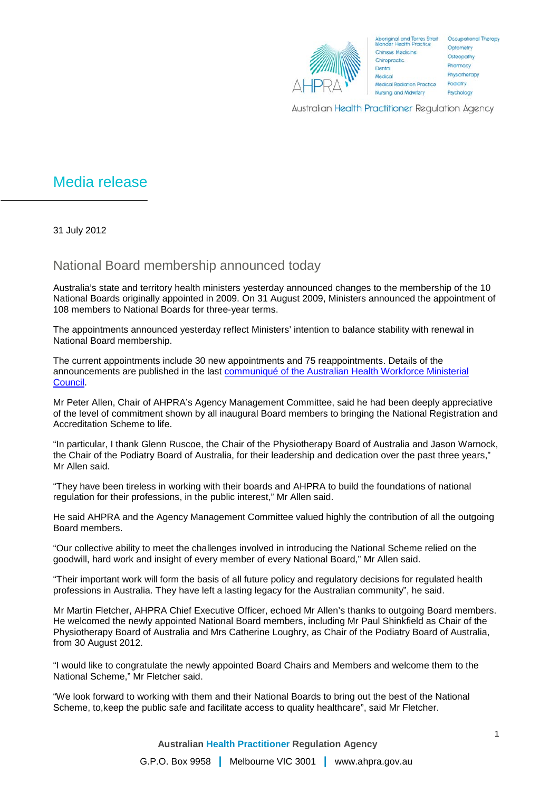

Australian Health Practitioner Regulation Agency

## Media release

31 July 2012

## National Board membership announced today

Australia's state and territory health ministers yesterday announced changes to the membership of the 10 National Boards originally appointed in 2009. On 31 August 2009, Ministers announced the appointment of 108 members to National Boards for three-year terms.

The appointments announced yesterday reflect Ministers' intention to balance stability with renewal in National Board membership.

The current appointments include 30 new appointments and 75 reappointments. Details of the announcements are published in the last [communiqué of the Australian Health Workforce Ministerial](http://www.ahpra.gov.au/documents/default.aspx?record=WD12%2f8629&dbid=AP&chksum=CUDibtj6n1pOJ42n%2b8Rjww%3d%3d)  [Council.](http://www.ahpra.gov.au/documents/default.aspx?record=WD12%2f8629&dbid=AP&chksum=CUDibtj6n1pOJ42n%2b8Rjww%3d%3d)

Mr Peter Allen, Chair of AHPRA's Agency Management Committee, said he had been deeply appreciative of the level of commitment shown by all inaugural Board members to bringing the National Registration and Accreditation Scheme to life.

"In particular, I thank Glenn Ruscoe, the Chair of the Physiotherapy Board of Australia and Jason Warnock, the Chair of the Podiatry Board of Australia, for their leadership and dedication over the past three years," Mr Allen said.

"They have been tireless in working with their boards and AHPRA to build the foundations of national regulation for their professions, in the public interest," Mr Allen said.

He said AHPRA and the Agency Management Committee valued highly the contribution of all the outgoing Board members.

"Our collective ability to meet the challenges involved in introducing the National Scheme relied on the goodwill, hard work and insight of every member of every National Board," Mr Allen said.

"Their important work will form the basis of all future policy and regulatory decisions for regulated health professions in Australia. They have left a lasting legacy for the Australian community", he said.

Mr Martin Fletcher, AHPRA Chief Executive Officer, echoed Mr Allen's thanks to outgoing Board members. He welcomed the newly appointed National Board members, including Mr Paul Shinkfield as Chair of the Physiotherapy Board of Australia and Mrs Catherine Loughry, as Chair of the Podiatry Board of Australia, from 30 August 2012.

"I would like to congratulate the newly appointed Board Chairs and Members and welcome them to the National Scheme," Mr Fletcher said.

"We look forward to working with them and their National Boards to bring out the best of the National Scheme, to,keep the public safe and facilitate access to quality healthcare", said Mr Fletcher.